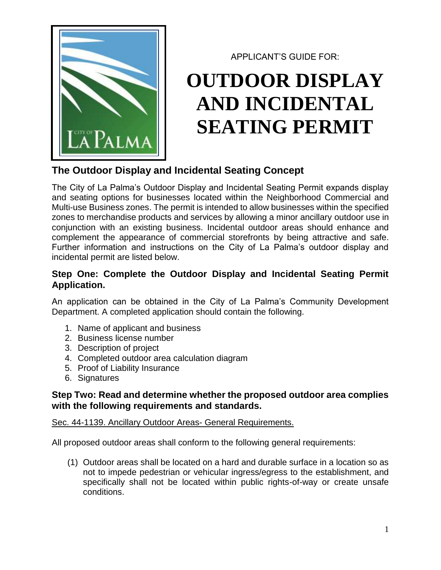

APPLICANT'S GUIDE FOR:

# **OUTDOOR DISPLAY AND INCIDENTAL SEATING PERMIT**

# **The Outdoor Display and Incidental Seating Concept**

The City of La Palma's Outdoor Display and Incidental Seating Permit expands display and seating options for businesses located within the Neighborhood Commercial and Multi-use Business zones. The permit is intended to allow businesses within the specified zones to merchandise products and services by allowing a minor ancillary outdoor use in conjunction with an existing business. Incidental outdoor areas should enhance and complement the appearance of commercial storefronts by being attractive and safe. Further information and instructions on the City of La Palma's outdoor display and incidental permit are listed below.

# **Step One: Complete the Outdoor Display and Incidental Seating Permit Application.**

An application can be obtained in the City of La Palma's Community Development Department. A completed application should contain the following.

- 1. Name of applicant and business
- 2. Business license number
- 3. Description of project
- 4. Completed outdoor area calculation diagram
- 5. Proof of Liability Insurance
- 6. Signatures

## **Step Two: Read and determine whether the proposed outdoor area complies with the following requirements and standards.**

### Sec. 44-1139. Ancillary Outdoor Areas- General Requirements.

All proposed outdoor areas shall conform to the following general requirements:

(1) Outdoor areas shall be located on a hard and durable surface in a location so as not to impede pedestrian or vehicular ingress/egress to the establishment, and specifically shall not be located within public rights-of-way or create unsafe conditions.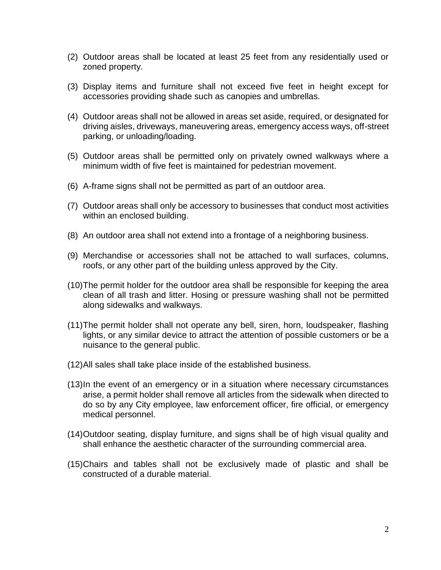- (2) Outdoor areas shall be located at least 25 feet from any residentially used or zoned property.
- (3) Display items and furniture shall not exceed five feet in height except for accessories providing shade such as canopies and umbrellas.
- (4) Outdoor areas shall not be allowed in areas set aside, required, or designated for driving aisles, driveways, maneuvering areas, emergency access ways, off-street parking, or unloading/loading.
- (5) Outdoor areas shall be permitted only on privately owned walkways where a minimum width of five feet is maintained for pedestrian movement.
- (6) A-frame signs shall not be permitted as part of an outdoor area.
- (7) Outdoor areas shall only be accessory to businesses that conduct most activities within an enclosed building.
- (8) An outdoor area shall not extend into a frontage of a neighboring business.
- (9) Merchandise or accessories shall not be attached to wall surfaces, columns, roofs, or any other part of the building unless approved by the City.
- (10)The permit holder for the outdoor area shall be responsible for keeping the area clean of all trash and litter. Hosing or pressure washing shall not be permitted along sidewalks and walkways.
- (11)The permit holder shall not operate any bell, siren, horn, loudspeaker, flashing lights, or any similar device to attract the attention of possible customers or be a nuisance to the general public.
- (12)All sales shall take place inside of the established business.
- (13)In the event of an emergency or in a situation where necessary circumstances arise, a permit holder shall remove all articles from the sidewalk when directed to do so by any City employee, law enforcement officer, fire official, or emergency medical personnel.
- (14)Outdoor seating, display furniture, and signs shall be of high visual quality and shall enhance the aesthetic character of the surrounding commercial area.
- (15)Chairs and tables shall not be exclusively made of plastic and shall be constructed of a durable material.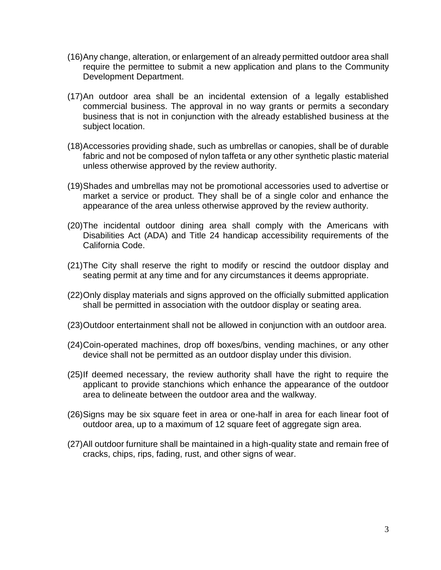- (16)Any change, alteration, or enlargement of an already permitted outdoor area shall require the permittee to submit a new application and plans to the Community Development Department.
- (17)An outdoor area shall be an incidental extension of a legally established commercial business. The approval in no way grants or permits a secondary business that is not in conjunction with the already established business at the subject location.
- (18)Accessories providing shade, such as umbrellas or canopies, shall be of durable fabric and not be composed of nylon taffeta or any other synthetic plastic material unless otherwise approved by the review authority.
- (19)Shades and umbrellas may not be promotional accessories used to advertise or market a service or product. They shall be of a single color and enhance the appearance of the area unless otherwise approved by the review authority.
- (20)The incidental outdoor dining area shall comply with the Americans with Disabilities Act (ADA) and Title 24 handicap accessibility requirements of the California Code.
- (21)The City shall reserve the right to modify or rescind the outdoor display and seating permit at any time and for any circumstances it deems appropriate.
- (22)Only display materials and signs approved on the officially submitted application shall be permitted in association with the outdoor display or seating area.
- (23)Outdoor entertainment shall not be allowed in conjunction with an outdoor area.
- (24)Coin-operated machines, drop off boxes/bins, vending machines, or any other device shall not be permitted as an outdoor display under this division.
- (25)If deemed necessary, the review authority shall have the right to require the applicant to provide stanchions which enhance the appearance of the outdoor area to delineate between the outdoor area and the walkway.
- (26)Signs may be six square feet in area or one-half in area for each linear foot of outdoor area, up to a maximum of 12 square feet of aggregate sign area.
- (27)All outdoor furniture shall be maintained in a high-quality state and remain free of cracks, chips, rips, fading, rust, and other signs of wear.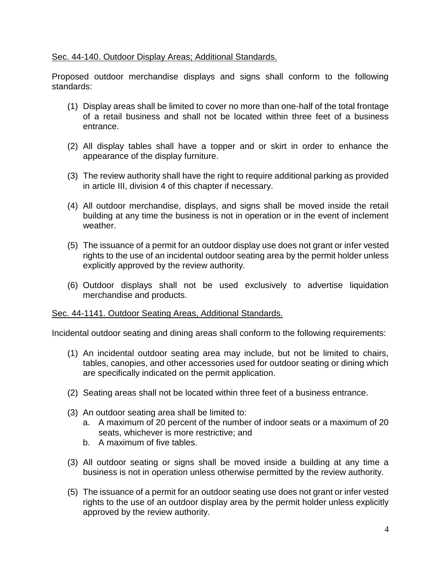#### Sec. 44-140. Outdoor Display Areas; Additional Standards.

Proposed outdoor merchandise displays and signs shall conform to the following standards:

- (1) Display areas shall be limited to cover no more than one-half of the total frontage of a retail business and shall not be located within three feet of a business entrance.
- (2) All display tables shall have a topper and or skirt in order to enhance the appearance of the display furniture.
- (3) The review authority shall have the right to require additional parking as provided in article III, division 4 of this chapter if necessary.
- (4) All outdoor merchandise, displays, and signs shall be moved inside the retail building at any time the business is not in operation or in the event of inclement weather.
- (5) The issuance of a permit for an outdoor display use does not grant or infer vested rights to the use of an incidental outdoor seating area by the permit holder unless explicitly approved by the review authority.
- (6) Outdoor displays shall not be used exclusively to advertise liquidation merchandise and products.

#### Sec. 44-1141. Outdoor Seating Areas, Additional Standards.

Incidental outdoor seating and dining areas shall conform to the following requirements:

- (1) An incidental outdoor seating area may include, but not be limited to chairs, tables, canopies, and other accessories used for outdoor seating or dining which are specifically indicated on the permit application.
- (2) Seating areas shall not be located within three feet of a business entrance.
- (3) An outdoor seating area shall be limited to:
	- a. A maximum of 20 percent of the number of indoor seats or a maximum of 20 seats, whichever is more restrictive; and
	- b. A maximum of five tables.
- (3) All outdoor seating or signs shall be moved inside a building at any time a business is not in operation unless otherwise permitted by the review authority.
- (5) The issuance of a permit for an outdoor seating use does not grant or infer vested rights to the use of an outdoor display area by the permit holder unless explicitly approved by the review authority.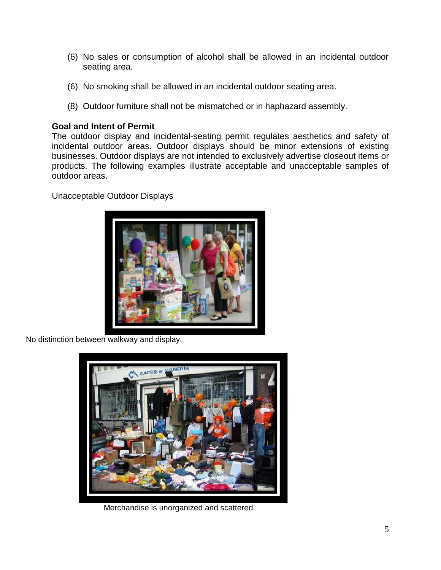- (6) No sales or consumption of alcohol shall be allowed in an incidental outdoor seating area.
- (6) No smoking shall be allowed in an incidental outdoor seating area.
- (8) Outdoor furniture shall not be mismatched or in haphazard assembly.

#### **Goal and Intent of Permit**

The outdoor display and incidental-seating permit regulates aesthetics and safety of incidental outdoor areas. Outdoor displays should be minor extensions of existing businesses. Outdoor displays are not intended to exclusively advertise closeout items or products. The following examples illustrate acceptable and unacceptable samples of outdoor areas.

#### Unacceptable Outdoor Displays



No distinction between walkway and display.



Merchandise is unorganized and scattered.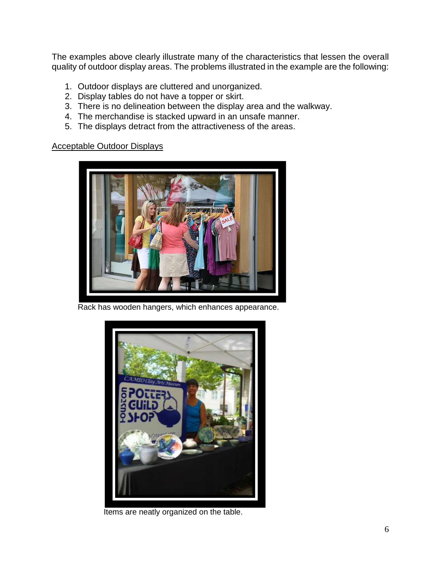The examples above clearly illustrate many of the characteristics that lessen the overall quality of outdoor display areas. The problems illustrated in the example are the following:

- 1. Outdoor displays are cluttered and unorganized.
- 2. Display tables do not have a topper or skirt.
- 3. There is no delineation between the display area and the walkway.
- 4. The merchandise is stacked upward in an unsafe manner.
- 5. The displays detract from the attractiveness of the areas.

#### Acceptable Outdoor Displays



Rack has wooden hangers, which enhances appearance.



Items are neatly organized on the table.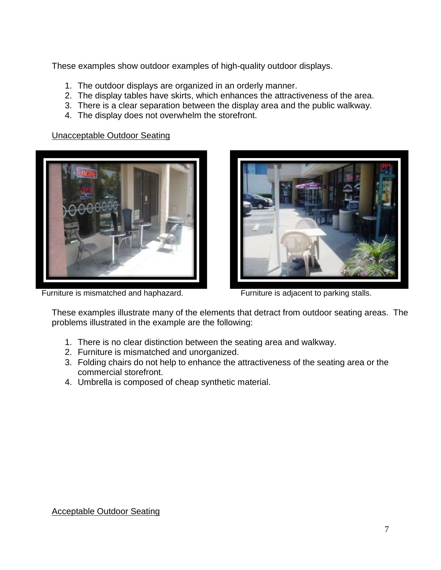These examples show outdoor examples of high-quality outdoor displays.

- 1. The outdoor displays are organized in an orderly manner.
- 2. The display tables have skirts, which enhances the attractiveness of the area.
- 3. There is a clear separation between the display area and the public walkway.
- 4. The display does not overwhelm the storefront.

Unacceptable Outdoor Seating



Furniture is mismatched and haphazard. Furniture is adjacent to parking stalls.



These examples illustrate many of the elements that detract from outdoor seating areas. The problems illustrated in the example are the following:

- 1. There is no clear distinction between the seating area and walkway.
- 2. Furniture is mismatched and unorganized.
- 3. Folding chairs do not help to enhance the attractiveness of the seating area or the commercial storefront.
- 4. Umbrella is composed of cheap synthetic material.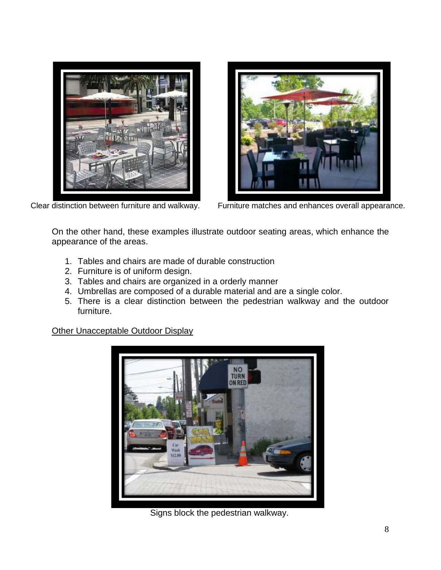



Clear distinction between furniture and walkway. Furniture matches and enhances overall appearance.

On the other hand, these examples illustrate outdoor seating areas, which enhance the appearance of the areas.

- 1. Tables and chairs are made of durable construction
- 2. Furniture is of uniform design.
- 3. Tables and chairs are organized in a orderly manner
- 4. Umbrellas are composed of a durable material and are a single color.
- 5. There is a clear distinction between the pedestrian walkway and the outdoor furniture.

Other Unacceptable Outdoor Display



Signs block the pedestrian walkway.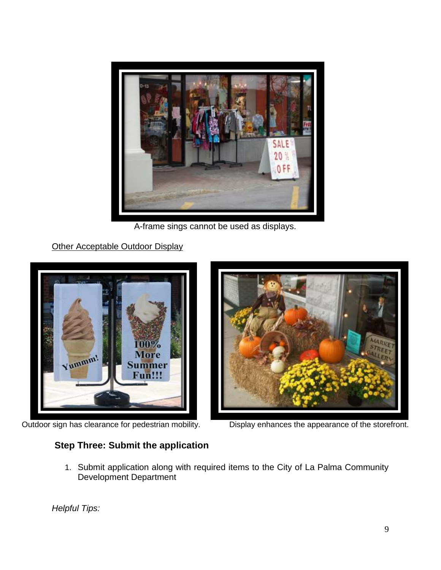

A-frame sings cannot be used as displays.

Other Acceptable Outdoor Display



Outdoor sign has clearance for pedestrian mobility. Display enhances the appearance of the storefront.

# **Step Three: Submit the application**

1. Submit application along with required items to the City of La Palma Community Development Department

*Helpful Tips:*